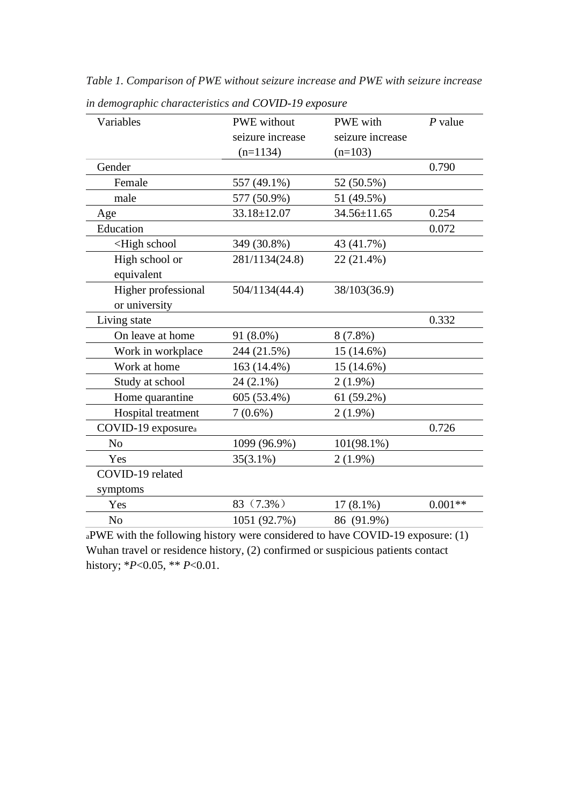| Variables                                                                      | <b>PWE</b> without | PWE with         | $P$ value |
|--------------------------------------------------------------------------------|--------------------|------------------|-----------|
|                                                                                | seizure increase   | seizure increase |           |
|                                                                                | $(n=1134)$         | $(n=103)$        |           |
| Gender                                                                         |                    |                  | 0.790     |
| Female                                                                         | 557 (49.1%)        | 52 (50.5%)       |           |
| male                                                                           | 577 (50.9%)        | 51 (49.5%)       |           |
| Age                                                                            | 33.18±12.07        | 34.56±11.65      | 0.254     |
| Education                                                                      |                    |                  | 0.072     |
| <high school<="" td=""><td>349 (30.8%)</td><td>43 (41.7%)</td><td></td></high> | 349 (30.8%)        | 43 (41.7%)       |           |
| High school or                                                                 | 281/1134(24.8)     | 22 (21.4%)       |           |
| equivalent                                                                     |                    |                  |           |
| Higher professional                                                            | 504/1134(44.4)     | 38/103(36.9)     |           |
| or university                                                                  |                    |                  |           |
| Living state                                                                   |                    |                  | 0.332     |
| On leave at home                                                               | 91 (8.0%)          | $8(7.8\%)$       |           |
| Work in workplace                                                              | 244 (21.5%)        | 15 (14.6%)       |           |
| Work at home                                                                   | 163 (14.4%)        | 15 (14.6%)       |           |
| Study at school                                                                | 24 (2.1%)          | $2(1.9\%)$       |           |
| Home quarantine                                                                | 605 (53.4%)        | 61 (59.2%)       |           |
| Hospital treatment                                                             | $7(0.6\%)$         | $2(1.9\%)$       |           |
| COVID-19 exposurea                                                             |                    |                  | 0.726     |
| N <sub>o</sub>                                                                 | 1099 (96.9%)       | $101(98.1\%)$    |           |
| Yes                                                                            | $35(3.1\%)$        | $2(1.9\%)$       |           |
| COVID-19 related                                                               |                    |                  |           |
| symptoms                                                                       |                    |                  |           |
| Yes                                                                            | 83 (7.3%)          | $17(8.1\%)$      | $0.001**$ |
| N <sub>o</sub>                                                                 | 1051 (92.7%)       | 86 (91.9%)       |           |

*Table 1. Comparison of PWE without seizure increase and PWE with seizure increase in demographic characteristics and COVID-19 exposure*

<sup>a</sup>PWE with the following history were considered to have COVID-19 exposure: (1) Wuhan travel or residence history, (2) confirmed or suspicious patients contact history; \**P*<0.05, \*\* *P*<0.01.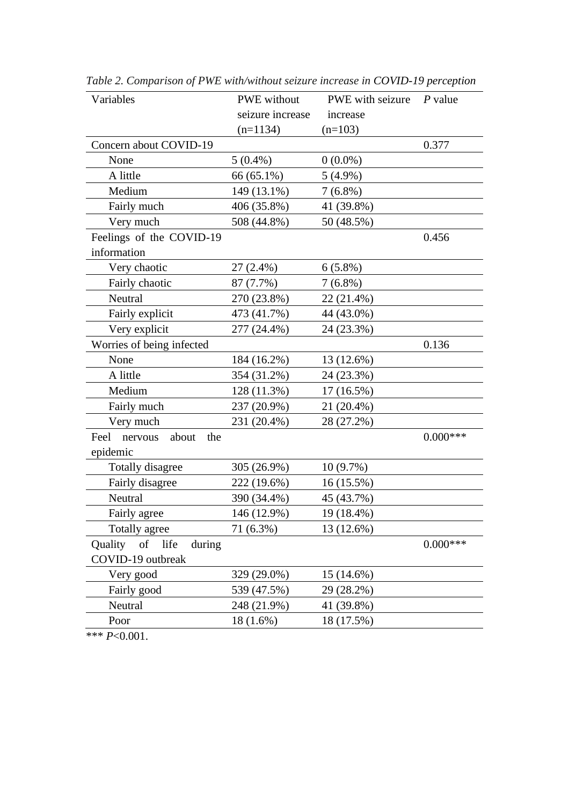| Variables                       | <b>PWE</b> without | PWE with seizure $P$ value |            |
|---------------------------------|--------------------|----------------------------|------------|
|                                 | seizure increase   | increase                   |            |
|                                 | $(n=1134)$         | $(n=103)$                  |            |
| Concern about COVID-19          |                    |                            | 0.377      |
| None                            | $5(0.4\%)$         | $0(0.0\%)$                 |            |
| A little                        | 66 (65.1%)         | $5(4.9\%)$                 |            |
| Medium                          | 149 (13.1%)        | $7(6.8\%)$                 |            |
| Fairly much                     | 406 (35.8%)        | 41 (39.8%)                 |            |
| Very much                       | 508 (44.8%)        | 50 (48.5%)                 |            |
| Feelings of the COVID-19        |                    |                            | 0.456      |
| information                     |                    |                            |            |
| Very chaotic                    | 27 (2.4%)          | $6(5.8\%)$                 |            |
| Fairly chaotic                  | 87 (7.7%)          | $7(6.8\%)$                 |            |
| Neutral                         | 270 (23.8%)        | 22 (21.4%)                 |            |
| Fairly explicit                 | 473 (41.7%)        | 44 (43.0%)                 |            |
| Very explicit                   | 277 (24.4%)        | 24 (23.3%)                 |            |
| Worries of being infected       |                    |                            | 0.136      |
| None                            | 184 (16.2%)        | 13 (12.6%)                 |            |
| A little                        | 354 (31.2%)        | 24 (23.3%)                 |            |
| Medium                          | 128 (11.3%)        | $17(16.5\%)$               |            |
| Fairly much                     | 237 (20.9%)        | 21 (20.4%)                 |            |
| Very much                       | 231 (20.4%)        | 28 (27.2%)                 |            |
| about<br>the<br>Feel<br>nervous |                    |                            | $0.000***$ |
| epidemic                        |                    |                            |            |
| Totally disagree                | 305 (26.9%)        | $10(9.7\%)$                |            |
| Fairly disagree                 | 222 (19.6%)        | 16(15.5%)                  |            |
| Neutral                         | 390 (34.4%)        | 45 (43.7%)                 |            |
| Fairly agree                    | 146 (12.9%)        | 19 (18.4%)                 |            |
| Totally agree                   | 71 (6.3%)          | 13 (12.6%)                 |            |
| Quality<br>of<br>life<br>during |                    |                            | $0.000***$ |
| COVID-19 outbreak               |                    |                            |            |
| Very good                       | 329 (29.0%)        | $15(14.6\%)$               |            |
| Fairly good                     | 539 (47.5%)        | 29 (28.2%)                 |            |
| Neutral                         | 248 (21.9%)        | 41 (39.8%)                 |            |
| Poor                            | 18 (1.6%)          | 18 (17.5%)                 |            |
|                                 |                    |                            |            |

*Table 2. Comparison of PWE with/without seizure increase in COVID-19 perception*

\*\*\* *P*<0.001.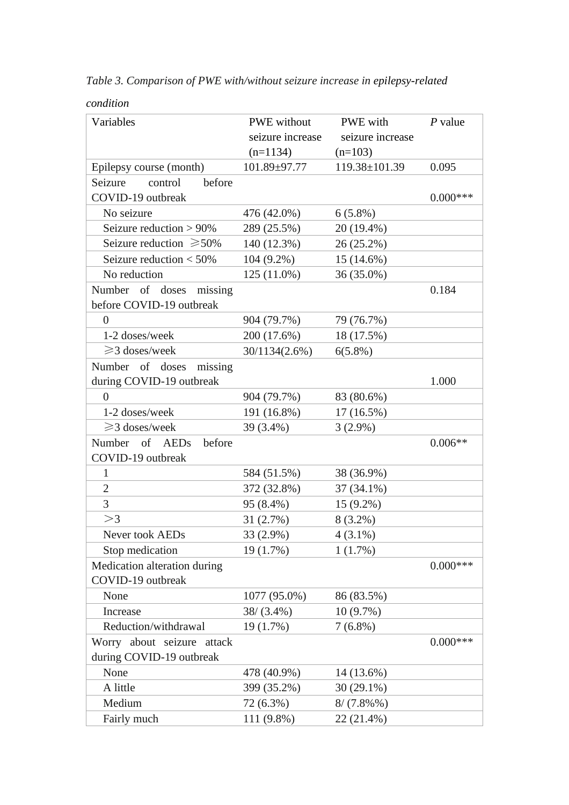| Variables                                                  | <b>PWE</b> without<br>seizure increase | PWE with<br>seizure increase | $P$ value   |
|------------------------------------------------------------|----------------------------------------|------------------------------|-------------|
| Epilepsy course (month)                                    | $(n=1134)$<br>101.89±97.77             | $(n=103)$<br>119.38±101.39   | 0.095       |
| before<br>Seizure<br>control                               |                                        |                              |             |
| COVID-19 outbreak                                          |                                        |                              | $0.000$ *** |
| No seizure                                                 | 476 (42.0%)                            | $6(5.8\%)$                   |             |
| Seizure reduction $> 90\%$                                 | 289 (25.5%)                            | 20 (19.4%)                   |             |
| Seizure reduction $\geq 50\%$                              | 140 (12.3%)                            | 26 (25.2%)                   |             |
| Seizure reduction $<$ 50%                                  | $104(9.2\%)$                           | 15 (14.6%)                   |             |
| No reduction                                               | 125 (11.0%)                            | 36 (35.0%)                   |             |
| Number of doses missing<br>before COVID-19 outbreak        |                                        |                              | 0.184       |
| $\overline{0}$                                             | 904 (79.7%)                            | 79 (76.7%)                   |             |
| 1-2 doses/week                                             | 200 (17.6%)                            | 18 (17.5%)                   |             |
| $\geq$ 3 doses/week                                        | 30/1134(2.6%)                          | $6(5.8\%)$                   |             |
| Number of doses<br>missing<br>during COVID-19 outbreak     |                                        |                              | 1.000       |
| $\overline{0}$                                             | 904 (79.7%)                            | 83 (80.6%)                   |             |
| 1-2 doses/week                                             | 191 (16.8%)                            | $17(16.5\%)$                 |             |
| $\geq$ 3 doses/week                                        | 39 (3.4%)                              | $3(2.9\%)$                   |             |
| Number<br>of<br><b>AEDs</b><br>before<br>COVID-19 outbreak |                                        |                              | $0.006**$   |
| $\mathbf{1}$                                               | 584 (51.5%)                            | 38 (36.9%)                   |             |
| $\overline{2}$                                             | 372 (32.8%)                            | 37 (34.1%)                   |             |
| 3                                                          | 95 (8.4%)                              | $15(9.2\%)$                  |             |
| >3                                                         | 31(2.7%)                               | $8(3.2\%)$                   |             |
| Never took AEDs                                            | 33 (2.9%)                              | $4(3.1\%)$                   |             |
| Stop medication                                            | 19(1.7%)                               | 1(1.7%)                      |             |
| Medication alteration during                               |                                        |                              | $0.000***$  |
| COVID-19 outbreak                                          |                                        |                              |             |
| None                                                       | 1077 (95.0%)                           | 86 (83.5%)                   |             |
| Increase                                                   | $38/(3.4\%)$                           | 10(9.7%)                     |             |
| Reduction/withdrawal                                       | 19 (1.7%)                              | $7(6.8\%)$                   |             |
| Worry about seizure attack<br>during COVID-19 outbreak     |                                        |                              | $0.000***$  |
| None                                                       | 478 (40.9%)                            | 14 (13.6%)                   |             |
| A little                                                   | 399 (35.2%)                            | 30 (29.1%)                   |             |
| Medium                                                     | 72 (6.3%)                              | $8/(7.8\%)\%$                |             |
| Fairly much                                                | 111 (9.8%)                             | 22 (21.4%)                   |             |
|                                                            |                                        |                              |             |

*Table 3. Comparison of PWE with/without seizure increase in epilepsy-related* 

*condition*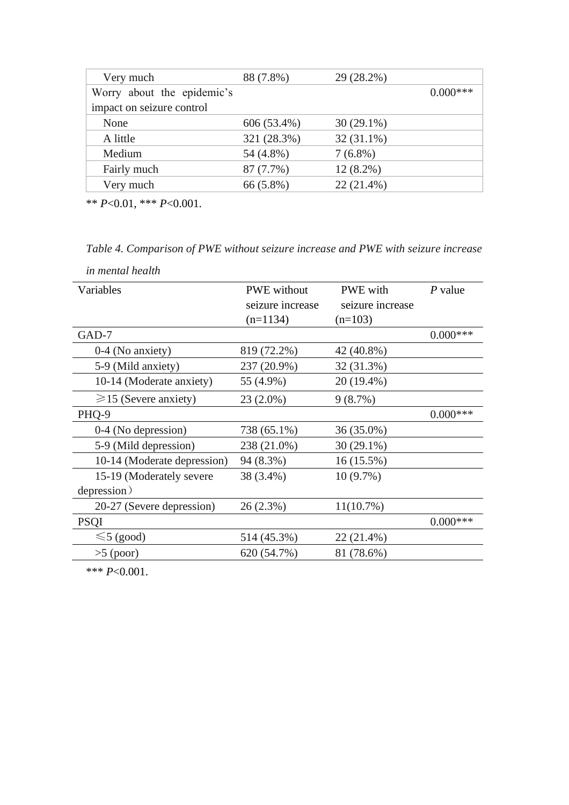| Very much                  | 88 (7.8%)   | 29 (28.2%)   |            |
|----------------------------|-------------|--------------|------------|
| Worry about the epidemic's |             |              | $0.000***$ |
| impact on seizure control  |             |              |            |
| None                       | 606 (53.4%) | $30(29.1\%)$ |            |
| A little                   | 321 (28.3%) | $32(31.1\%)$ |            |
| Medium                     | 54 (4.8%)   | $7(6.8\%)$   |            |
| Fairly much                | 87 (7.7%)   | $12(8.2\%)$  |            |
| Very much                  | 66 (5.8%)   | $22(21.4\%)$ |            |

\*\* *P*<0.01, \*\*\* *P*<0.001.

*Table 4. Comparison of PWE without seizure increase and PWE with seizure increase* 

*in mental health*

| Variables                   | <b>PWE</b> without | PWE with         | P value     |
|-----------------------------|--------------------|------------------|-------------|
|                             | seizure increase   | seizure increase |             |
|                             | $(n=1134)$         | $(n=103)$        |             |
| GAD-7                       |                    |                  | $0.000***$  |
| 0-4 (No anxiety)            | 819 (72.2%)        | 42 (40.8%)       |             |
| 5-9 (Mild anxiety)          | 237 (20.9%)        | 32 (31.3%)       |             |
| 10-14 (Moderate anxiety)    | 55 (4.9%)          | 20 (19.4%)       |             |
| $\geq 15$ (Severe anxiety)  | 23 (2.0%)          | $9(8.7\%)$       |             |
| PHQ-9                       |                    |                  | $0.000$ *** |
| 0-4 (No depression)         | 738 (65.1%)        | 36 (35.0%)       |             |
| 5-9 (Mild depression)       | 238 (21.0%)        | $30(29.1\%)$     |             |
| 10-14 (Moderate depression) | 94 (8.3%)          | 16 (15.5%)       |             |
| 15-19 (Moderately severe    | 38 (3.4%)          | $10(9.7\%)$      |             |
| depression)                 |                    |                  |             |
| 20-27 (Severe depression)   | 26 (2.3%)          | $11(10.7\%)$     |             |
| <b>PSQI</b>                 |                    |                  | $0.000***$  |
| $\leq 5$ (good)             | 514 (45.3%)        | 22 (21.4%)       |             |
| $>5$ (poor)                 | 620 (54.7%)        | 81 (78.6%)       |             |

\*\*\* *P*<0.001.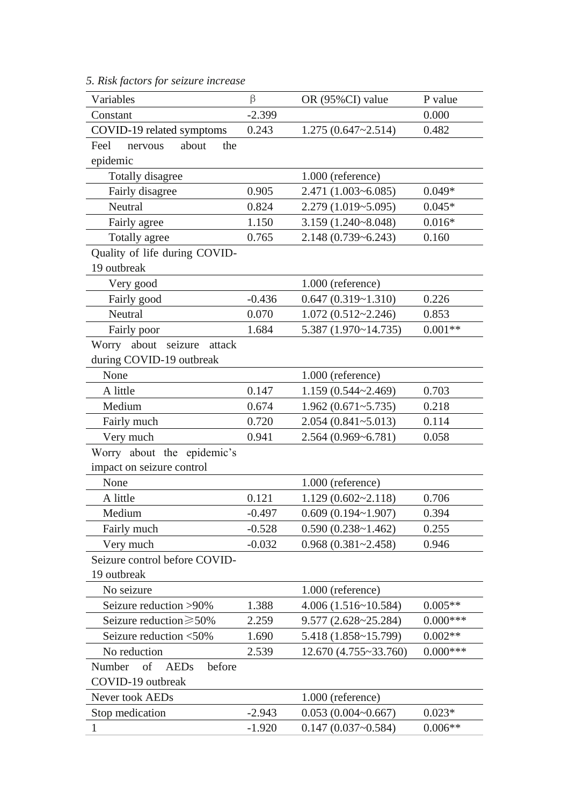| Variables                             | β        | OR (95%CI) value             | P value     |
|---------------------------------------|----------|------------------------------|-------------|
| Constant                              | $-2.399$ |                              | 0.000       |
| COVID-19 related symptoms             | 0.243    | 1.275(0.647~2.514)           | 0.482       |
| about<br>Feel<br>the<br>nervous       |          |                              |             |
| epidemic                              |          |                              |             |
| <b>Totally disagree</b>               |          | 1.000 (reference)            |             |
| Fairly disagree                       | 0.905    | $2.471(1.003 - 6.085)$       | $0.049*$    |
| Neutral                               | 0.824    | $2.279(1.019-5.095)$         | $0.045*$    |
| Fairly agree                          | 1.150    | $3.159(1.240-8.048)$         | $0.016*$    |
| Totally agree                         | 0.765    | $2.148(0.739 - 6.243)$       | 0.160       |
| Quality of life during COVID-         |          |                              |             |
| 19 outbreak                           |          |                              |             |
| Very good                             |          | $1.000$ (reference)          |             |
| Fairly good                           | $-0.436$ | 0.647(0.319~1.310)           | 0.226       |
| Neutral                               | 0.070    | $1.072(0.512 \times 2.246)$  | 0.853       |
| Fairly poor                           | 1.684    | $5.387(1.970~-14.735)$       | $0.001**$   |
| Worry about seizure<br>attack         |          |                              |             |
| during COVID-19 outbreak              |          |                              |             |
| None                                  |          | $1.000$ (reference)          |             |
| A little                              | 0.147    | $1.159(0.544 \sim 2.469)$    | 0.703       |
| Medium                                | 0.674    | $1.962(0.671 \times 5.735)$  | 0.218       |
| Fairly much                           | 0.720    | $2.054(0.841-5.013)$         | 0.114       |
| Very much                             | 0.941    | $2.564(0.969-6.781)$         | 0.058       |
| Worry about the epidemic's            |          |                              |             |
| impact on seizure control             |          |                              |             |
| None                                  |          | 1.000 (reference)            |             |
| A little                              | 0.121    | 1.129(0.602~2.118)           | 0.706       |
| Medium                                | $-0.497$ | 0.609(0.194~1.907)           | 0.394       |
| Fairly much                           | $-0.528$ | 0.590(0.238~1.462)           | 0.255       |
| Very much                             | $-0.032$ | 0.968(0.381~2.458)           | 0.946       |
| Seizure control before COVID-         |          |                              |             |
| 19 outbreak                           |          |                              |             |
| No seizure                            |          | $1.000$ (reference)          |             |
| Seizure reduction >90%                | 1.388    | 4.006(1.516~10.584)          | $0.005**$   |
| Seizure reduction $\geq 50\%$         | 2.259    | $9.577(2.628 \times 25.284)$ | $0.000$ *** |
| Seizure reduction <50%                | 1.690    | 5.418 (1.858~15.799)         | $0.002**$   |
| No reduction                          | 2.539    | 12.670 (4.755~33.760)        | $0.000$ *** |
| Number<br>of<br><b>AEDs</b><br>before |          |                              |             |
| COVID-19 outbreak                     |          |                              |             |
| Never took AEDs                       |          | $1.000$ (reference)          |             |
| Stop medication                       | $-2.943$ | 0.053(0.004~0.667)           | $0.023*$    |
| $\mathbf{1}$                          | $-1.920$ | 0.147(0.037~0.584)           | $0.006**$   |

*5. Risk factors for seizure increase*